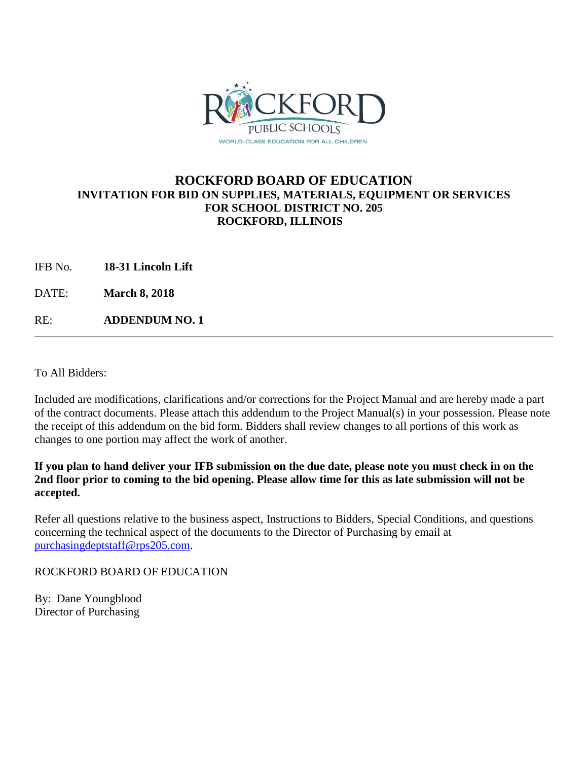

#### **ROCKFORD BOARD OF EDUCATION INVITATION FOR BID ON SUPPLIES, MATERIALS, EQUIPMENT OR SERVICES FOR SCHOOL DISTRICT NO. 205 ROCKFORD, ILLINOIS**

IFB No. **18-31 Lincoln Lift**

DATE: **March 8, 2018**

RE: **ADDENDUM NO. 1**

To All Bidders:

Included are modifications, clarifications and/or corrections for the Project Manual and are hereby made a part of the contract documents. Please attach this addendum to the Project Manual(s) in your possession. Please note the receipt of this addendum on the bid form. Bidders shall review changes to all portions of this work as changes to one portion may affect the work of another.

**If you plan to hand deliver your IFB submission on the due date, please note you must check in on the 2nd floor prior to coming to the bid opening. Please allow time for this as late submission will not be accepted.**

Refer all questions relative to the business aspect, Instructions to Bidders, Special Conditions, and questions concerning the technical aspect of the documents to the Director of Purchasing by email at [purchasingdeptstaff@rps205.com.](mailto:purchasingdeptstaff@rps205.com)

#### ROCKFORD BOARD OF EDUCATION

By: Dane Youngblood Director of Purchasing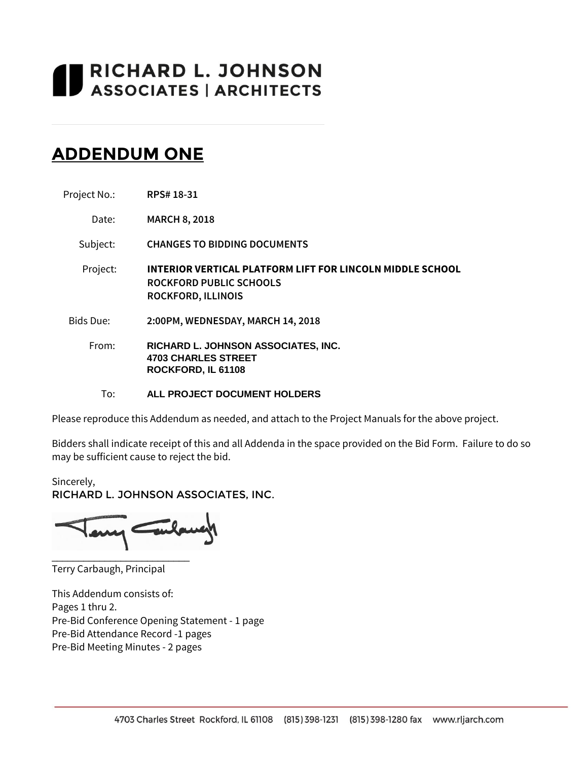# **I RICHARD L. JOHNSON**<br>I ASSOCIATES | ARCHITECTS

# **ADDENDUM ONE**

| Project No.: | RPS# 18-31 |
|--------------|------------|
|              |            |

Date: **MARCH 8, 2018**

Subject: **CHANGES TO BIDDING DOCUMENTS**

Project: **INTERIOR VERTICAL PLATFORM LIFT FOR LINCOLN MIDDLE SCHOOL ROCKFORD PUBLIC SCHOOLS ROCKFORD, ILLINOIS**

Bids Due: **2:00PM, WEDNESDAY, MARCH 14, 2018**

From: **RICHARD L. JOHNSON ASSOCIATES, INC. 4703 CHARLES STREET ROCKFORD, IL 61108**

To: **ALL PROJECT DOCUMENT HOLDERS**

Please reproduce this Addendum as needed, and attach to the Project Manuals for the above project.

Bidders shall indicate receipt of this and all Addenda in the space provided on the Bid Form. Failure to do so may be sufficient cause to reject the bid.

Sincerely, RICHARD L. JOHNSON ASSOCIATES, INC.

Tubane \_\_\_\_\_\_\_\_\_\_\_\_\_\_\_\_\_\_\_\_\_\_\_\_\_\_

Terry Carbaugh, Principal

This Addendum consists of: Pages 1 thru 2. Pre-Bid Conference Opening Statement - 1 page Pre-Bid Attendance Record -1 pages Pre-Bid Meeting Minutes - 2 pages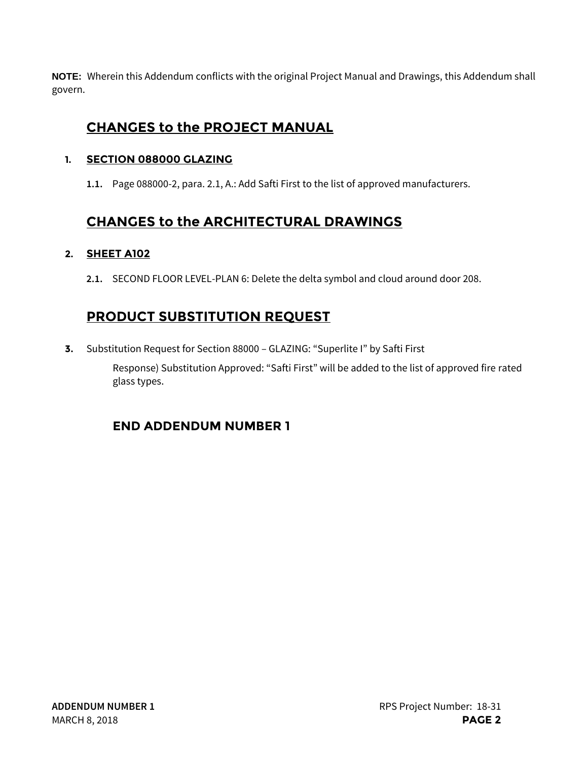**NOTE:** Wherein this Addendum conflicts with the original Project Manual and Drawings, this Addendum shall govern.

## **CHANGES to the PROJECT MANUAL**

#### **1. SECTION 088000 GLAZING**

**1.1.** Page 088000-2, para. 2.1, A.: Add Safti First to the list of approved manufacturers.

## **CHANGES to the ARCHITECTURAL DRAWINGS**

### **2. SHEET A102**

**2.1.** SECOND FLOOR LEVEL-PLAN 6: Delete the delta symbol and cloud around door 208.

## **PRODUCT SUBSTITUTION REQUEST**

**3.** Substitution Request for Section 88000 – GLAZING: "Superlite I" by Safti First Response) Substitution Approved: "Safti First" will be added to the list of approved fire rated glass types.

## **END ADDENDUM NUMBER 1**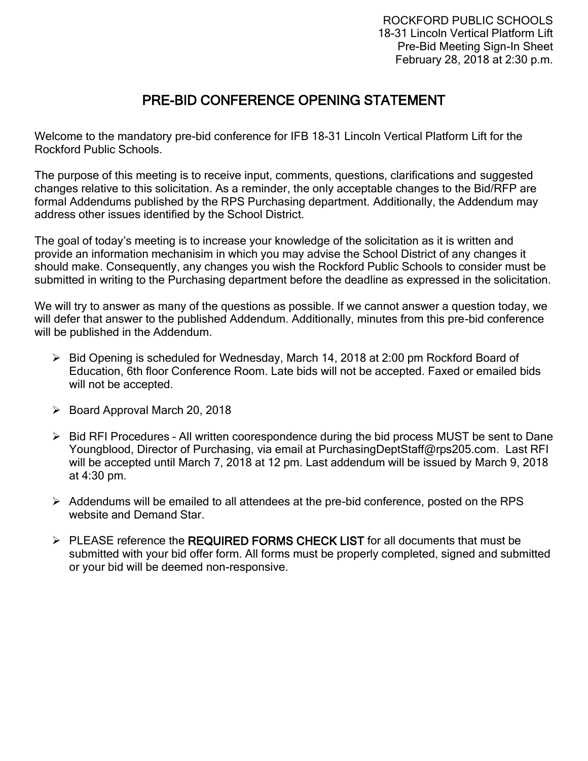## PRE-BID CONFERENCE OPENING STATEMENT

Welcome to the mandatory pre-bid conference for IFB 18-31 Lincoln Vertical Platform Lift for the Rockford Public Schools.

The purpose of this meeting is to receive input, comments, questions, clarifications and suggested changes relative to this solicitation. As a reminder, the only acceptable changes to the Bid/RFP are formal Addendums published by the RPS Purchasing department. Additionally, the Addendum may address other issues identified by the School District.

The goal of today's meeting is to increase your knowledge of the solicitation as it is written and provide an information mechanisim in which you may advise the School District of any changes it should make. Consequently, any changes you wish the Rockford Public Schools to consider must be submitted in writing to the Purchasing department before the deadline as expressed in the solicitation.

We will try to answer as many of the questions as possible. If we cannot answer a question today, we will defer that answer to the published Addendum. Additionally, minutes from this pre-bid conference will be published in the Addendum.

- ➢ Bid Opening is scheduled for Wednesday, March 14, 2018 at 2:00 pm Rockford Board of Education, 6th floor Conference Room. Late bids will not be accepted. Faxed or emailed bids will not be accepted.
- ➢ Board Approval March 20, 2018
- ➢ Bid RFI Procedures All written coorespondence during the bid process MUST be sent to Dane Youngblood, Director of Purchasing, via email at PurchasingDeptStaff@rps205.com. Last RFI will be accepted until March 7, 2018 at 12 pm. Last addendum will be issued by March 9, 2018 at 4:30 pm.
- ➢ Addendums will be emailed to all attendees at the pre-bid conference, posted on the RPS website and Demand Star.
- $\triangleright$  PLEASE reference the REQUIRED FORMS CHECK LIST for all documents that must be submitted with your bid offer form. All forms must be properly completed, signed and submitted or your bid will be deemed non-responsive.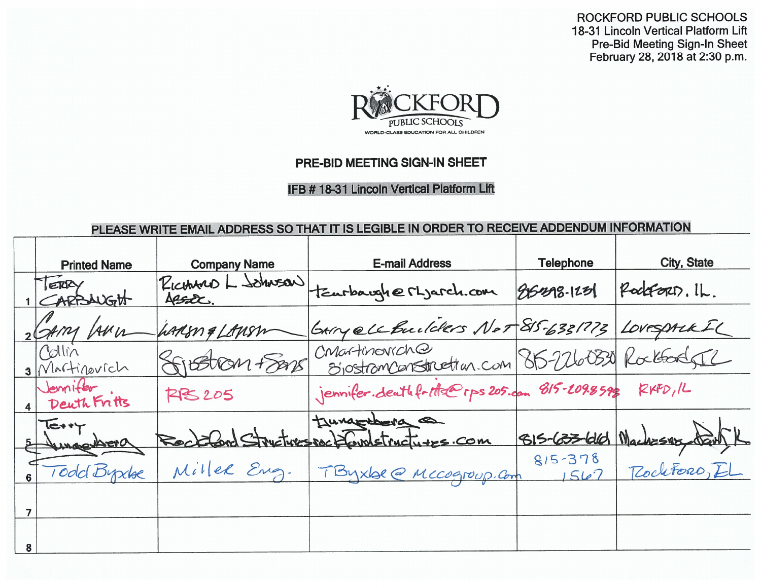ROCKFORD PUBLIC SCHOOLS 18-31 Lincoln Vertical Platform Lift **Pre-Bid Meeting Sign-In Sheet** February 28, 2018 at 2:30 p.m.



## PRE-BID MEETING SIGN-IN SHEET

**IFB # 18-31 Lincoln Vertical Platform Lift** 

## PLEASE WRITE EMAIL ADDRESS SO THAT IT IS LEGIBLE IN ORDER TO RECEIVE ADDENDUM INFORMATION

| <b>Printed Name</b>         | <b>Company Name</b>         | <b>E-mail Address</b>                                             | <b>Telephone</b>   | City, State               |
|-----------------------------|-----------------------------|-------------------------------------------------------------------|--------------------|---------------------------|
| ERRY<br>TARBAUGH            | RICHARD L SOMUSON<br>Assac. | tearbargherLjarch.com                                             | $85298 - 123$      | PodeFort). IL.            |
| GAMY LANUL                  | harism & Lansm              | GARY ell Builders Not 815-6331773                                 |                    | LOVESPALKEL               |
| Collin<br>3 Martinovich     | FIBETION Frans              | CMartmoviche<br>SjostramCanstruction.com 815-2260330 Rockbook SIL |                    |                           |
| Jemifer<br>Deuth Fritts     | <b>RPS 205</b>              | jennifer.deuthforthe@rps205.com 815-209.8598 RXPD, IL             |                    |                           |
| $I$ etry<br><b>UMACHATO</b> |                             | tungsters a<br>stures packformstructures.com                      |                    | 815-633-616 Machesny Sarl |
| Todd Byxlee                 | Miller Eng.                 | TByxbe @ Mccogroup. Com                                           | $815 - 378$<br>562 | Rochtoro, EL              |
|                             |                             |                                                                   |                    |                           |
|                             |                             |                                                                   |                    |                           |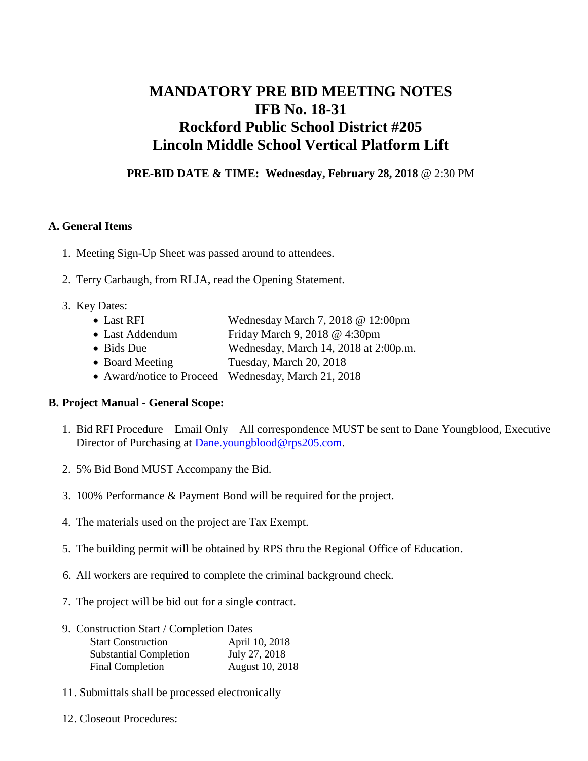## **MANDATORY PRE BID MEETING NOTES IFB No. 18-31 Rockford Public School District #205 Lincoln Middle School Vertical Platform Lift**

**PRE-BID DATE & TIME: Wednesday, February 28, 2018** @ 2:30 PM

#### **A. General Items**

- 1. Meeting Sign-Up Sheet was passed around to attendees.
- 2. Terry Carbaugh, from RLJA, read the Opening Statement.
- 3. Key Dates:
	- Last RFI Wednesday March 7, 2018 @ 12:00pm
	- Last Addendum Friday March 9, 2018 @ 4:30pm
	- Bids Due Wednesday, March 14, 2018 at 2:00p.m.
	- Board Meeting Tuesday, March 20, 2018
	- Award/notice to Proceed Wednesday, March 21, 2018

#### **B. Project Manual - General Scope:**

- 1. Bid RFI Procedure Email Only All correspondence MUST be sent to Dane Youngblood, Executive Director of Purchasing at **Dane**.youngblood@rps205.com.
- 2. 5% Bid Bond MUST Accompany the Bid.
- 3. 100% Performance & Payment Bond will be required for the project.
- 4. The materials used on the project are Tax Exempt.
- 5. The building permit will be obtained by RPS thru the Regional Office of Education.
- 6. All workers are required to complete the criminal background check.
- 7. The project will be bid out for a single contract.
- 9. Construction Start / Completion Dates

| <b>Start Construction</b>     | April 10, 2018  |
|-------------------------------|-----------------|
| <b>Substantial Completion</b> | July 27, 2018   |
| Final Completion              | August 10, 2018 |

- 11. Submittals shall be processed electronically
- 12. Closeout Procedures: